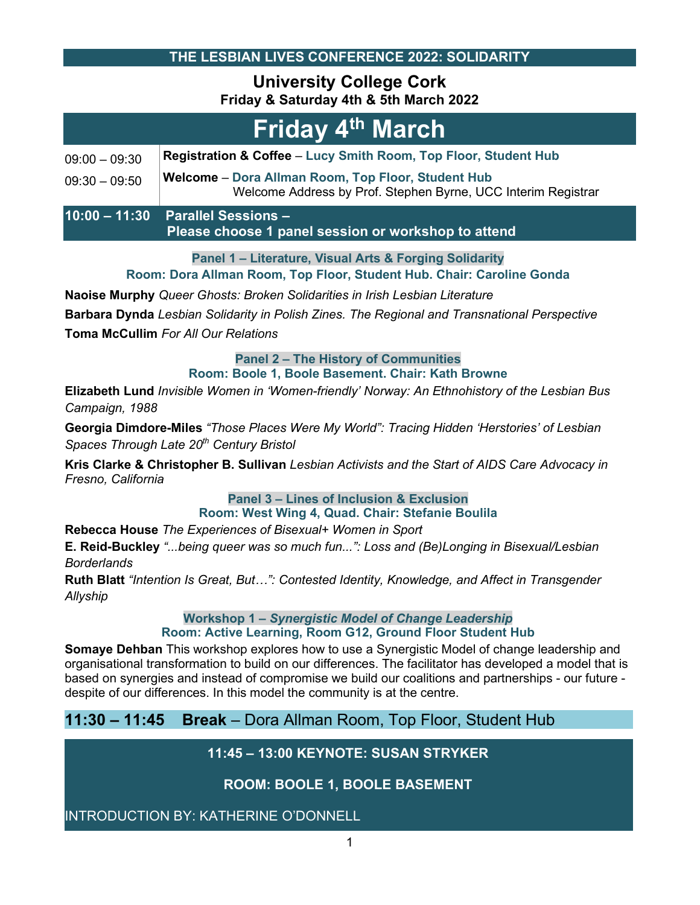**THE LESBIAN LIVES CONFERENCE 2022: SOLIDARITY**

## **University College Cork Friday & Saturday 4th & 5th March 2022**

| Friday 4 <sup>th</sup> March |                                                                                                                            |  |
|------------------------------|----------------------------------------------------------------------------------------------------------------------------|--|
| $09:00 - 09:30$              | Registration & Coffee - Lucy Smith Room, Top Floor, Student Hub                                                            |  |
| $09:30 - 09:50$              | <b>Welcome - Dora Allman Room, Top Floor, Student Hub</b><br>Welcome Address by Prof. Stephen Byrne, UCC Interim Registrar |  |
|                              | 10:00 - 11:30  Parallel Sessions -                                                                                         |  |

 **Please choose 1 panel session or workshop to attend**

**Panel 1 – Literature, Visual Arts & Forging Solidarity**

**Room: Dora Allman Room, Top Floor, Student Hub. Chair: Caroline Gonda**

**Naoise Murphy** *Queer Ghosts: Broken Solidarities in Irish Lesbian Literature*

**Barbara Dynda** *Lesbian Solidarity in Polish Zines. The Regional and Transnational Perspective* **Toma McCullim** *For All Our Relations*

**Panel 2 – The History of Communities** 

**Room: Boole 1, Boole Basement. Chair: Kath Browne**

**Elizabeth Lund** *Invisible Women in 'Women-friendly' Norway: An Ethnohistory of the Lesbian Bus Campaign, 1988*

**Georgia Dimdore-Miles** *"Those Places Were My World": Tracing Hidden 'Herstories' of Lesbian Spaces Through Late 20th Century Bristol*

**Kris Clarke & Christopher B. Sullivan** *Lesbian Activists and the Start of AIDS Care Advocacy in Fresno, California*

> **Panel 3 – Lines of Inclusion & Exclusion Room: West Wing 4, Quad. Chair: Stefanie Boulila**

**Rebecca House** *The Experiences of Bisexual+ Women in Sport*

**E. Reid-Buckley** *"...being queer was so much fun...": Loss and (Be)Longing in Bisexual/Lesbian Borderlands*

**Ruth Blatt** *"Intention Is Great, But…": Contested Identity, Knowledge, and Affect in Transgender Allyship*

> **Workshop 1 –** *Synergistic Model of Change Leadership* **Room: Active Learning, Room G12, Ground Floor Student Hub**

**Somaye Dehban** This workshop explores how to use a Synergistic Model of change leadership and organisational transformation to build on our differences. The facilitator has developed a model that is based on synergies and instead of compromise we build our coalitions and partnerships - our future despite of our differences. In this model the community is at the centre.

## **11:30 – 11:45 Break** – Dora Allman Room, Top Floor, Student Hub

## **11:45 – 13:00 KEYNOTE: SUSAN STRYKER**

## **ROOM: BOOLE 1, BOOLE BASEMENT**

INTRODUCTION BY: KATHERINE O'DONNELL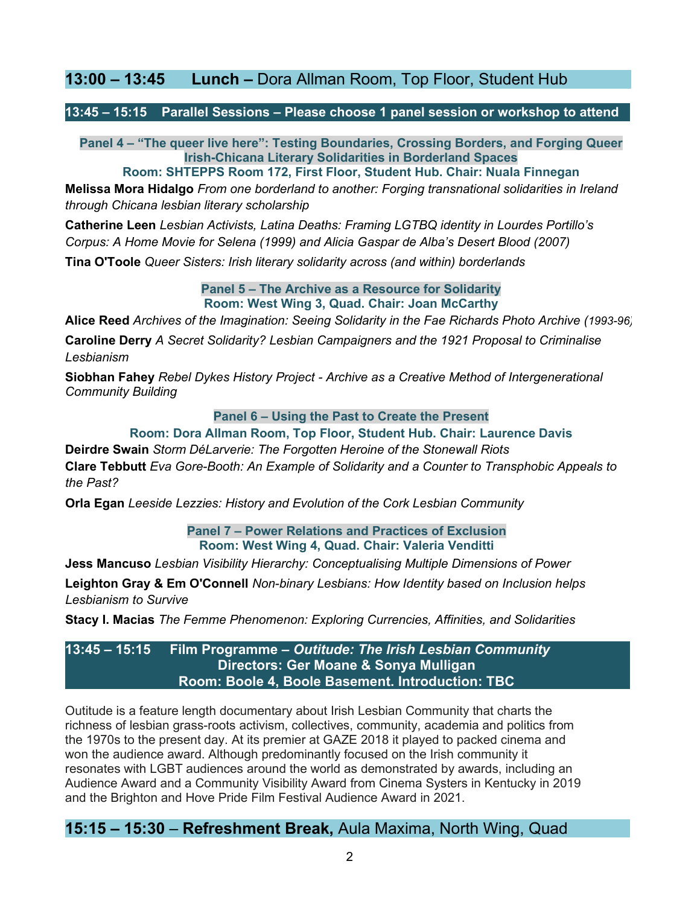## **13:00 – 13:45 Lunch –** Dora Allman Room, Top Floor, Student Hub

**13:45 – 15:15 Parallel Sessions – Please choose 1 panel session or workshop to attend**

**Panel 4 – "The queer live here": Testing Boundaries, Crossing Borders, and Forging Queer Irish-Chicana Literary Solidarities in Borderland Spaces**

**Room: SHTEPPS Room 172, First Floor, Student Hub. Chair: Nuala Finnegan**

**Melissa Mora Hidalgo** *From one borderland to another: Forging transnational solidarities in Ireland through Chicana lesbian literary scholarship*

**Catherine Leen** *Lesbian Activists, Latina Deaths: Framing LGTBQ identity in Lourdes Portillo's Corpus: A Home Movie for Selena (1999) and Alicia Gaspar de Alba's Desert Blood (2007)* **Tina O'Toole** *Queer Sisters: Irish literary solidarity across (and within) borderlands*

> **Panel 5 – The Archive as a Resource for Solidarity Room: West Wing 3, Quad. Chair: Joan McCarthy**

**Alice Reed** *Archives of the Imagination: Seeing Solidarity in the Fae Richards Photo Archive (1993-96)*

**Caroline Derry** *A Secret Solidarity? Lesbian Campaigners and the 1921 Proposal to Criminalise Lesbianism*

**Siobhan Fahey** *Rebel Dykes History Project - Archive as a Creative Method of Intergenerational Community Building*

**Panel 6 – Using the Past to Create the Present**

#### **Room: Dora Allman Room, Top Floor, Student Hub. Chair: Laurence Davis**

**Deirdre Swain** *Storm DéLarverie: The Forgotten Heroine of the Stonewall Riots* **Clare Tebbutt** *Eva Gore-Booth: An Example of Solidarity and a Counter to Transphobic Appeals to the Past?*

**Orla Egan** *Leeside Lezzies: History and Evolution of the Cork Lesbian Community*

**Panel 7 – Power Relations and Practices of Exclusion Room: West Wing 4, Quad. Chair: Valeria Venditti**

**Jess Mancuso** *Lesbian Visibility Hierarchy: Conceptualising Multiple Dimensions of Power*

**Leighton Gray & Em O'Connell** *Non-binary Lesbians: How Identity based on Inclusion helps Lesbianism to Survive*

**Stacy I. Macias** *The Femme Phenomenon: Exploring Currencies, Affinities, and Solidarities*

**13:45 – 15:15 Film Programme –** *Outitude: The Irish Lesbian Community* **Directors: Ger Moane & Sonya Mulligan Room: Boole 4, Boole Basement. Introduction: TBC**

Outitude is a feature length documentary about Irish Lesbian Community that charts the richness of lesbian grass-roots activism, collectives, community, academia and politics from the 1970s to the present day. At its premier at GAZE 2018 it played to packed cinema and won the audience award. Although predominantly focused on the Irish community it resonates with LGBT audiences around the world as demonstrated by awards, including an Audience Award and a Community Visibility Award from Cinema Systers in Kentucky in 2019 and the Brighton and Hove Pride Film Festival Audience Award in 2021.

## **15:15 – 15:30** – **Refreshment Break,** Aula Maxima, North Wing, Quad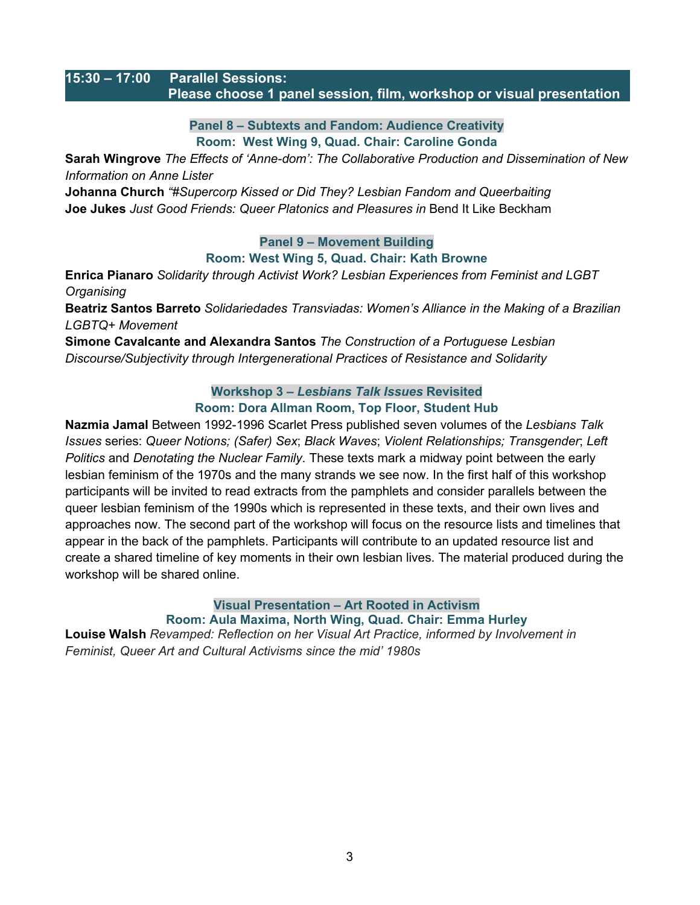#### **15:30 – 17:00 Parallel Sessions: Please choose 1 panel session, film, workshop or visual presentation**

**Panel 8 – Subtexts and Fandom: Audience Creativity Room: West Wing 9, Quad. Chair: Caroline Gonda**

**Sarah Wingrove** *The Effects of 'Anne-dom': The Collaborative Production and Dissemination of New Information on Anne Lister*

**Johanna Church** *"#Supercorp Kissed or Did They? Lesbian Fandom and Queerbaiting* **Joe Jukes** *Just Good Friends: Queer Platonics and Pleasures in* Bend It Like Beckham

**Panel 9 – Movement Building** 

#### **Room: West Wing 5, Quad. Chair: Kath Browne**

**Enrica Pianaro** *Solidarity through Activist Work? Lesbian Experiences from Feminist and LGBT Organising*

**Beatriz Santos Barreto** *Solidariedades Transviadas: Women's Alliance in the Making of a Brazilian LGBTQ+ Movement*

**Simone Cavalcante and Alexandra Santos** *The Construction of a Portuguese Lesbian Discourse/Subjectivity through Intergenerational Practices of Resistance and Solidarity*

#### **Workshop 3 –** *Lesbians Talk Issues* **Revisited Room: Dora Allman Room, Top Floor, Student Hub**

**Nazmia Jamal** Between 1992-1996 Scarlet Press published seven volumes of the *Lesbians Talk Issues* series: *Queer Notions; (Safer) Sex*; *Black Waves*; *Violent Relationships; Transgender*; *Left Politics* and *Denotating the Nuclear Family*. These texts mark a midway point between the early lesbian feminism of the 1970s and the many strands we see now. In the first half of this workshop participants will be invited to read extracts from the pamphlets and consider parallels between the queer lesbian feminism of the 1990s which is represented in these texts, and their own lives and approaches now. The second part of the workshop will focus on the resource lists and timelines that appear in the back of the pamphlets. Participants will contribute to an updated resource list and create a shared timeline of key moments in their own lesbian lives. The material produced during the workshop will be shared online.

**Visual Presentation – Art Rooted in Activism Room: Aula Maxima, North Wing, Quad. Chair: Emma Hurley Louise Walsh** *Revamped: Reflection on her Visual Art Practice, informed by Involvement in Feminist, Queer Art and Cultural Activisms since the mid' 1980s*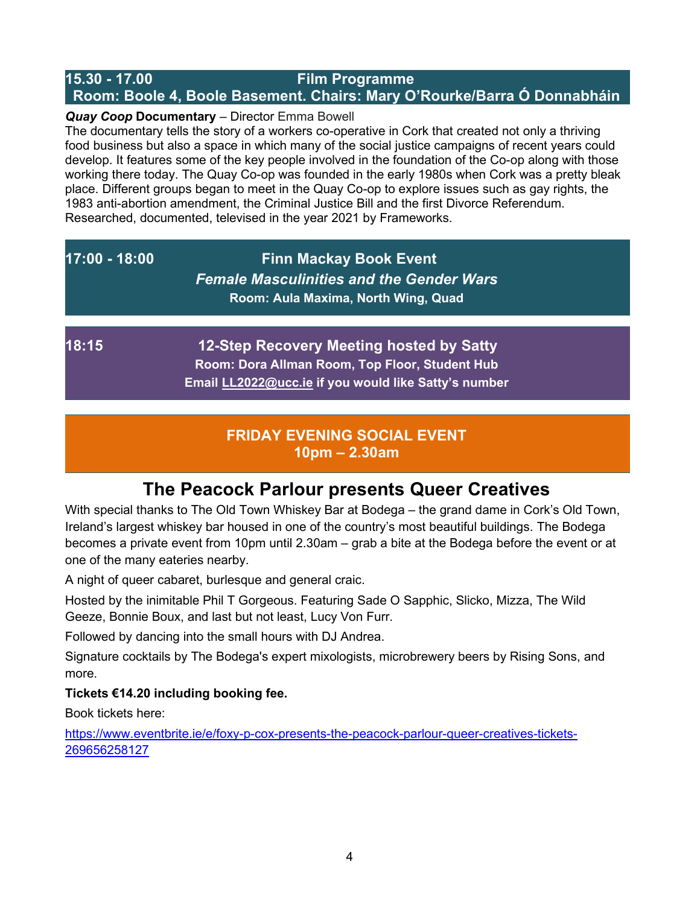## **15.30 - 17.00 Film Programme Room: Boole 4, Boole Basement. Chairs: Mary O'Rourke/Barra Ó Donnabháin**

### *Quay Coop* **Documentary** – Director Emma Bowell

The documentary tells the story of a workers co-operative in Cork that created not only a thriving food business but also a space in which many of the social justice campaigns of recent years could develop. It features some of the key people involved in the foundation of the Co-op along with those working there today. The Quay Co-op was founded in the early 1980s when Cork was a pretty bleak place. Different groups began to meet in the Quay Co-op to explore issues such as gay rights, the 1983 anti-abortion amendment, the Criminal Justice Bill and the first Divorce Referendum. Researched, documented, televised in the year 2021 by Frameworks.

## **17:00 - 18:00 Finn Mackay Book Event**  *Female Masculinities and the Gender Wars* **Room: Aula Maxima, North Wing, Quad**

**18:15 12-Step Recovery Meeting hosted by Satty Room: Dora Allman Room, Top Floor, Student Hub Email [LL2022@ucc.ie](mailto:LL2022@ucc.ie) if you would like Satty's number**

## **FRIDAY EVENING SOCIAL EVENT 10pm – 2.30am**

# **The Peacock Parlour presents Queer Creatives**

With special thanks to The Old Town Whiskey Bar at Bodega – the grand dame in Cork's Old Town, Ireland's largest whiskey bar housed in one of the country's most beautiful buildings. The Bodega becomes a private event from 10pm until 2.30am – grab a bite at the Bodega before the event or at one of the many eateries nearby.

A night of queer cabaret, burlesque and general craic.

Hosted by the inimitable Phil T Gorgeous. Featuring Sade O Sapphic, Slicko, Mizza, The Wild Geeze, Bonnie Boux, and last but not least, Lucy Von Furr.

Followed by dancing into the small hours with DJ Andrea.

Signature cocktails by The Bodega's expert mixologists, microbrewery beers by Rising Sons, and more.

### **Tickets €14.20 including booking fee.**

Book tickets here:

[https://www.eventbrite.ie/e/foxy-p-cox-presents-the-peacock-parlour-queer-creatives-tickets-](https://www.eventbrite.ie/e/foxy-p-cox-presents-the-peacock-parlour-queer-creatives-tickets-269656258127)[269656258127](https://www.eventbrite.ie/e/foxy-p-cox-presents-the-peacock-parlour-queer-creatives-tickets-269656258127)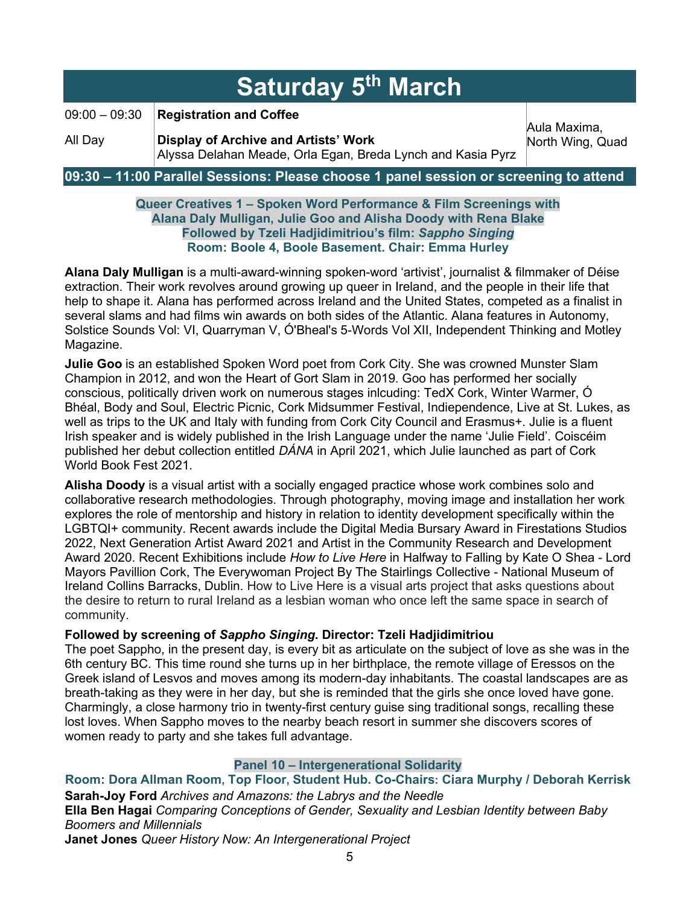| <b>Saturday 5th March</b>                                                             |                                                                                                                                              |                                  |  |
|---------------------------------------------------------------------------------------|----------------------------------------------------------------------------------------------------------------------------------------------|----------------------------------|--|
| $09:00 - 09:30$<br>All Day                                                            | <b>Registration and Coffee</b><br><b>Display of Archive and Artists' Work</b><br>Alyssa Delahan Meade, Orla Egan, Breda Lynch and Kasia Pyrz | Aula Maxima,<br>North Wing, Quad |  |
| 09:30 – 11:00 Parallel Sessions: Please choose 1 panel session or screening to attend |                                                                                                                                              |                                  |  |

#### **Queer Creatives 1 – Spoken Word Performance & Film Screenings with Alana Daly Mulligan, Julie Goo and Alisha Doody with Rena Blake Followed by Tzeli Hadjidimitriou's film:** *Sappho Singing* **Room: Boole 4, Boole Basement. Chair: Emma Hurley**

**Alana Daly Mulligan** is a multi-award-winning spoken-word 'artivist', journalist & filmmaker of Déise extraction. Their work revolves around growing up queer in Ireland, and the people in their life that help to shape it. Alana has performed across Ireland and the United States, competed as a finalist in several slams and had films win awards on both sides of the Atlantic. Alana features in Autonomy, Solstice Sounds Vol: VI, Quarryman V, Ó'Bheal's 5-Words Vol XII, Independent Thinking and Motley Magazine.

**Julie Goo** is an established Spoken Word poet from Cork City. She was crowned Munster Slam Champion in 2012, and won the Heart of Gort Slam in 2019. Goo has performed her socially conscious, politically driven work on numerous stages inlcuding: TedX Cork, Winter Warmer, Ó Bhéal, Body and Soul, Electric Picnic, Cork Midsummer Festival, Indiependence, Live at St. Lukes, as well as trips to the UK and Italy with funding from Cork City Council and Erasmus+. Julie is a fluent Irish speaker and is widely published in the Irish Language under the name 'Julie Field'. Coiscéim published her debut collection entitled *DÁNA* in April 2021, which Julie launched as part of Cork World Book Fest 2021.

**Alisha Doody** is a visual artist with a socially engaged practice whose work combines solo and collaborative research methodologies. Through photography, moving image and installation her work explores the role of mentorship and history in relation to identity development specifically within the LGBTQI+ community. Recent awards include the Digital Media Bursary Award in Firestations Studios 2022, Next Generation Artist Award 2021 and Artist in the Community Research and Development Award 2020. Recent Exhibitions include *How to Live Here* in Halfway to Falling by Kate O Shea - Lord Mayors Pavillion Cork, The Everywoman Project By The Stairlings Collective - National Museum of Ireland Collins Barracks, Dublin. How to Live Here is a visual arts project that asks questions about the desire to return to rural Ireland as a lesbian woman who once left the same space in search of community.

#### **Followed by screening of** *Sappho Singing***. Director: Tzeli Hadjidimitriou**

The poet Sappho, in the present day, is every bit as articulate on the subject of love as she was in the 6th century BC. This time round she turns up in her birthplace, the remote village of Eressos on the Greek island of Lesvos and moves among its modern-day inhabitants. The coastal landscapes are as breath-taking as they were in her day, but she is reminded that the girls she once loved have gone. Charmingly, a close harmony trio in twenty-first century guise sing traditional songs, recalling these lost loves. When Sappho moves to the nearby beach resort in summer she discovers scores of women ready to party and she takes full advantage.

#### **Panel 10 – Intergenerational Solidarity**

**Room: Dora Allman Room, Top Floor, Student Hub. Co-Chairs: Ciara Murphy / Deborah Kerrisk Sarah-Joy Ford** *Archives and Amazons: the Labrys and the Needle* **Ella Ben Hagai** *Comparing Conceptions of Gender, Sexuality and Lesbian Identity between Baby Boomers and Millennials* **Janet Jones** *Queer History Now: An Intergenerational Project*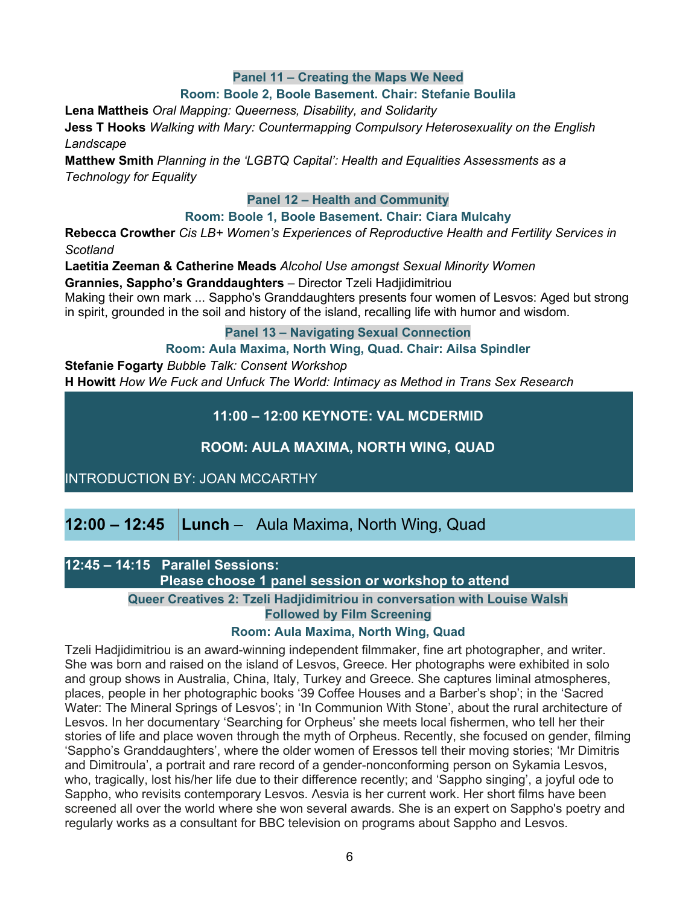#### **Panel 11 – Creating the Maps We Need**

#### **Room: Boole 2, Boole Basement. Chair: Stefanie Boulila**

**Lena Mattheis** *Oral Mapping: Queerness, Disability, and Solidarity*

**Jess T Hooks** *Walking with Mary: Countermapping Compulsory Heterosexuality on the English Landscape*

**Matthew Smith** *Planning in the 'LGBTQ Capital': Health and Equalities Assessments as a Technology for Equality*

#### **Panel 12 – Health and Community**

#### **Room: Boole 1, Boole Basement. Chair: Ciara Mulcahy**

**Rebecca Crowther** *Cis LB+ Women's Experiences of Reproductive Health and Fertility Services in Scotland*

**Laetitia Zeeman & Catherine Meads** *Alcohol Use amongst Sexual Minority Women*

**Grannies, Sappho's Granddaughters** – Director Tzeli Hadjidimitriou

Making their own mark ... Sappho's Granddaughters presents four women of Lesvos: Aged but strong in spirit, grounded in the soil and history of the island, recalling life with humor and wisdom.

#### **Panel 13 – Navigating Sexual Connection**

**Room: Aula Maxima, North Wing, Quad. Chair: Ailsa Spindler**

**Stefanie Fogarty** *Bubble Talk: Consent Workshop* **H Howitt** *How We Fuck and Unfuck The World: Intimacy as Method in Trans Sex Research*

**11:00 – 12:00 KEYNOTE: VAL MCDERMID** 

**ROOM: AULA MAXIMA, NORTH WING, QUAD**

INTRODUCTION BY: JOAN MCCARTHY

**12:00 – 12:45 Lunch** – Aula Maxima, North Wing, Quad

**12:45 – 14:15 Parallel Sessions:**

 **Please choose 1 panel session or workshop to attend**

**Queer Creatives 2: Tzeli Hadjidimitriou in conversation with Louise Walsh Followed by Film Screening**

#### **Room: Aula Maxima, North Wing, Quad**

Tzeli Hadjidimitriou is an award-winning independent filmmaker, fine art photographer, and writer. She was born and raised on the island of Lesvos, Greece. Her photographs were exhibited in solo and group shows in Australia, China, Italy, Turkey and Greece. She captures liminal atmospheres, places, people in her photographic books '39 Coffee Houses and a Barber's shop'; in the 'Sacred Water: The Mineral Springs of Lesvos'; in 'In Communion With Stone', about the rural architecture of Lesvos. In her documentary 'Searching for Orpheus' she meets local fishermen, who tell her their stories of life and place woven through the myth of Orpheus. Recently, she focused on gender, filming 'Sappho's Granddaughters', where the older women of Eressos tell their moving stories; 'Mr Dimitris and Dimitroula', a portrait and rare record of a gender-nonconforming person on Sykamia Lesvos, who, tragically, lost his/her life due to their difference recently; and 'Sappho singing', a joyful ode to Sappho, who revisits contemporary Lesvos. Λesvia is her current work. Her short films have been screened all over the world where she won several awards. She is an expert on Sappho's poetry and regularly works as a consultant for BBC television on programs about Sappho and Lesvos.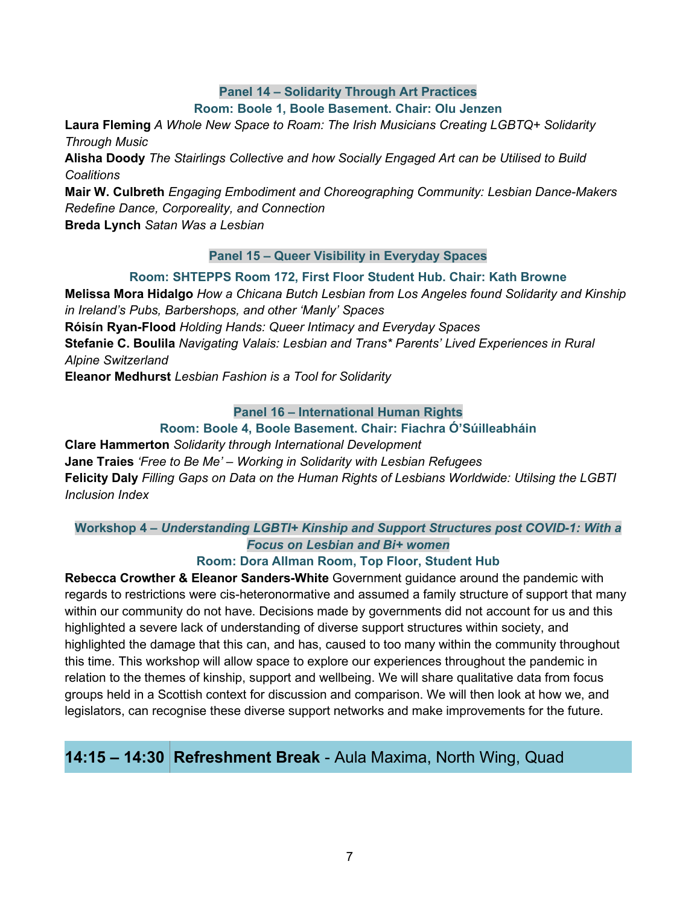### **Panel 14 – Solidarity Through Art Practices**

#### **Room: Boole 1, Boole Basement. Chair: Olu Jenzen**

**Laura Fleming** *A Whole New Space to Roam: The Irish Musicians Creating LGBTQ+ Solidarity Through Music*

**Alisha Doody** *The Stairlings Collective and how Socially Engaged Art can be Utilised to Build Coalitions*

**Mair W. Culbreth** *Engaging Embodiment and Choreographing Community: Lesbian Dance-Makers Redefine Dance, Corporeality, and Connection*

**Breda Lynch** *Satan Was a Lesbian*

#### **Panel 15 – Queer Visibility in Everyday Spaces**

#### **Room: SHTEPPS Room 172, First Floor Student Hub. Chair: Kath Browne**

**Melissa Mora Hidalgo** *How a Chicana Butch Lesbian from Los Angeles found Solidarity and Kinship in Ireland's Pubs, Barbershops, and other 'Manly' Spaces*

**Róisín Ryan-Flood** *Holding Hands: Queer Intimacy and Everyday Spaces*

**Stefanie C. Boulila** *Navigating Valais: Lesbian and Trans\* Parents' Lived Experiences in Rural Alpine Switzerland*

**Eleanor Medhurst** *Lesbian Fashion is a Tool for Solidarity*

#### **Panel 16 – International Human Rights**

#### **Room: Boole 4, Boole Basement. Chair: Fiachra Ó'Súilleabháin**

**Clare Hammerton** *Solidarity through International Development* **Jane Traies** *'Free to Be Me' – Working in Solidarity with Lesbian Refugees* **Felicity Daly** *Filling Gaps on Data on the Human Rights of Lesbians Worldwide: Utilsing the LGBTI Inclusion Index*

### **Workshop 4 –** *Understanding LGBTI+ Kinship and Support Structures post COVID-1: With a Focus on Lesbian and Bi+ women*

#### **Room: Dora Allman Room, Top Floor, Student Hub**

**Rebecca Crowther & Eleanor Sanders-White** Government guidance around the pandemic with regards to restrictions were cis-heteronormative and assumed a family structure of support that many within our community do not have. Decisions made by governments did not account for us and this highlighted a severe lack of understanding of diverse support structures within society, and highlighted the damage that this can, and has, caused to too many within the community throughout this time. This workshop will allow space to explore our experiences throughout the pandemic in relation to the themes of kinship, support and wellbeing. We will share qualitative data from focus groups held in a Scottish context for discussion and comparison. We will then look at how we, and legislators, can recognise these diverse support networks and make improvements for the future.

## **14:15 – 14:30 Refreshment Break** - Aula Maxima, North Wing, Quad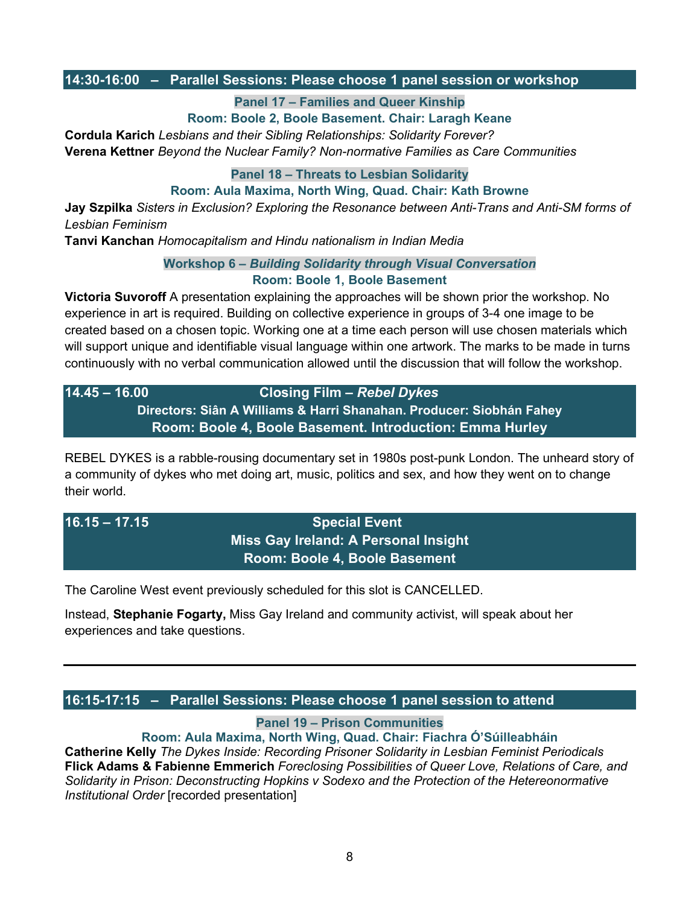#### **14:30-16:00 – Parallel Sessions: Please choose 1 panel session or workshop**

**Panel 17 – Families and Queer Kinship** 

**Room: Boole 2, Boole Basement. Chair: Laragh Keane**

**Cordula Karich** *Lesbians and their Sibling Relationships: Solidarity Forever?* **Verena Kettner** *Beyond the Nuclear Family? Non-normative Families as Care Communities*

**Panel 18 – Threats to Lesbian Solidarity**

**Room: Aula Maxima, North Wing, Quad. Chair: Kath Browne**

**Jay Szpilka** *Sisters in Exclusion? Exploring the Resonance between Anti-Trans and Anti-SM forms of Lesbian Feminism* 

**Tanvi Kanchan** *Homocapitalism and Hindu nationalism in Indian Media* 

**Workshop 6 –** *Building Solidarity through Visual Conversation*

**Room: Boole 1, Boole Basement**

**Victoria Suvoroff** A presentation explaining the approaches will be shown prior the workshop. No experience in art is required. Building on collective experience in groups of 3-4 one image to be created based on a chosen topic. Working one at a time each person will use chosen materials which will support unique and identifiable visual language within one artwork. The marks to be made in turns continuously with no verbal communication allowed until the discussion that will follow the workshop.

**14.45 – 16.00 Closing Film –** *Rebel Dykes* **Directors: Siân A Williams & Harri Shanahan. Producer: Siobhán Fahey Room: Boole 4, Boole Basement. Introduction: Emma Hurley**

REBEL DYKES is a rabble-rousing documentary set in 1980s post-punk London. The unheard story of a community of dykes who met doing art, music, politics and sex, and how they went on to change their world.

## **16.15 – 17.15 Special Event Miss Gay Ireland: A Personal Insight Room: Boole 4, Boole Basement**

The Caroline West event previously scheduled for this slot is CANCELLED.

Instead, **Stephanie Fogarty,** Miss Gay Ireland and community activist, will speak about her experiences and take questions.

### **16:15-17:15 – Parallel Sessions: Please choose 1 panel session to attend**

**Panel 19 – Prison Communities** 

**Room: Aula Maxima, North Wing, Quad. Chair: Fiachra Ó'Súilleabháin Catherine Kelly** *The Dykes Inside: Recording Prisoner Solidarity in Lesbian Feminist Periodicals* **Flick Adams & Fabienne Emmerich** *Foreclosing Possibilities of Queer Love, Relations of Care, and* 

*Solidarity in Prison: Deconstructing Hopkins v Sodexo and the Protection of the Hetereonormative Institutional Order* [recorded presentation]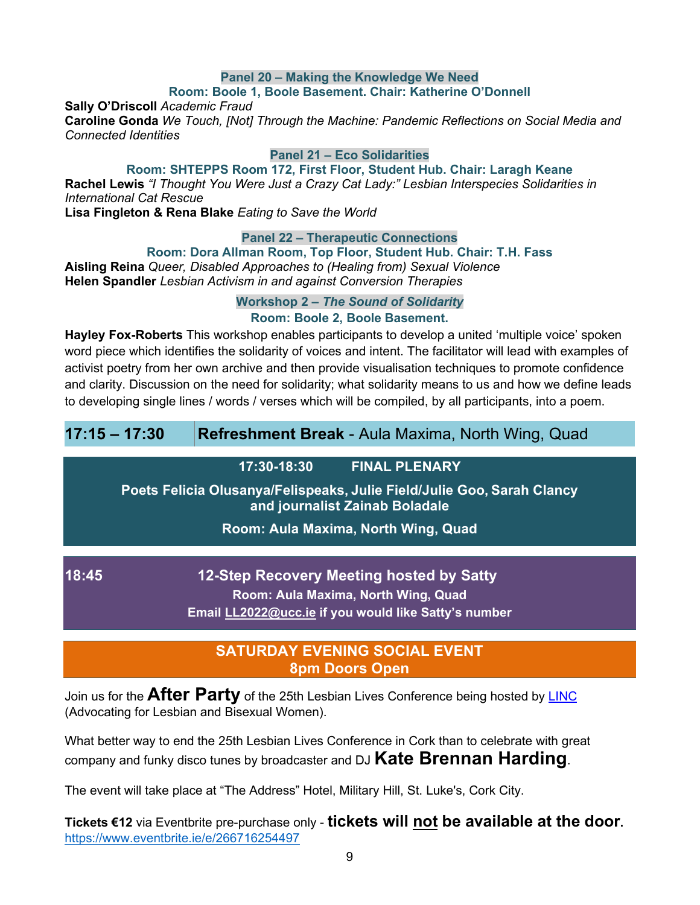#### **Panel 20 – Making the Knowledge We Need**

#### **Room: Boole 1, Boole Basement. Chair: Katherine O'Donnell**

**Sally O'Driscoll** *Academic Fraud*

**Caroline Gonda** *We Touch, [Not] Through the Machine: Pandemic Reflections on Social Media and Connected Identities*

#### **Panel 21 – Eco Solidarities**

**Room: SHTEPPS Room 172, First Floor, Student Hub. Chair: Laragh Keane**

**Rachel Lewis** *"I Thought You Were Just a Crazy Cat Lady:" Lesbian Interspecies Solidarities in International Cat Rescue*

**Lisa Fingleton & Rena Blake** *Eating to Save the World*

#### **Panel 22 – Therapeutic Connections**

#### **Room: Dora Allman Room, Top Floor, Student Hub. Chair: T.H. Fass**

**Aisling Reina** *Queer, Disabled Approaches to (Healing from) Sexual Violence* **Helen Spandler** *Lesbian Activism in and against Conversion Therapies*

**Workshop 2 –** *The Sound of Solidarity*

#### **Room: Boole 2, Boole Basement.**

**Hayley Fox-Roberts** This workshop enables participants to develop a united 'multiple voice' spoken word piece which identifies the solidarity of voices and intent. The facilitator will lead with examples of activist poetry from her own archive and then provide visualisation techniques to promote confidence and clarity. Discussion on the need for solidarity; what solidarity means to us and how we define leads to developing single lines / words / verses which will be compiled, by all participants, into a poem.

#### **17:30-18:30 FINAL PLENARY**

**Poets Felicia Olusanya/Felispeaks, Julie Field/Julie Goo, Sarah Clancy and journalist Zainab Boladale**

#### **Room: Aula Maxima, North Wing, Quad**

**18:45 12-Step Recovery Meeting hosted by Satty Room: Aula Maxima, North Wing, Quad Email [LL2022@ucc.ie](mailto:LL2022@ucc.ie) if you would like Satty's number**

## **SATURDAY EVENING SOCIAL EVENT 8pm Doors Open**

Join us for the **After Party** of the 25th Lesbian Lives Conference being hosted by [LINC](http://www.linc.ie/) (Advocating for Lesbian and Bisexual Women).

What better way to end the 25th Lesbian Lives Conference in Cork than to celebrate with great company and funky disco tunes by broadcaster and DJ **Kate Brennan Harding**.

The event will take place at "The Address" Hotel, Military Hill, St. Luke's, Cork City.

**Tickets €12** via Eventbrite pre-purchase only - **tickets will not be available at the door.** <https://www.eventbrite.ie/e/266716254497>